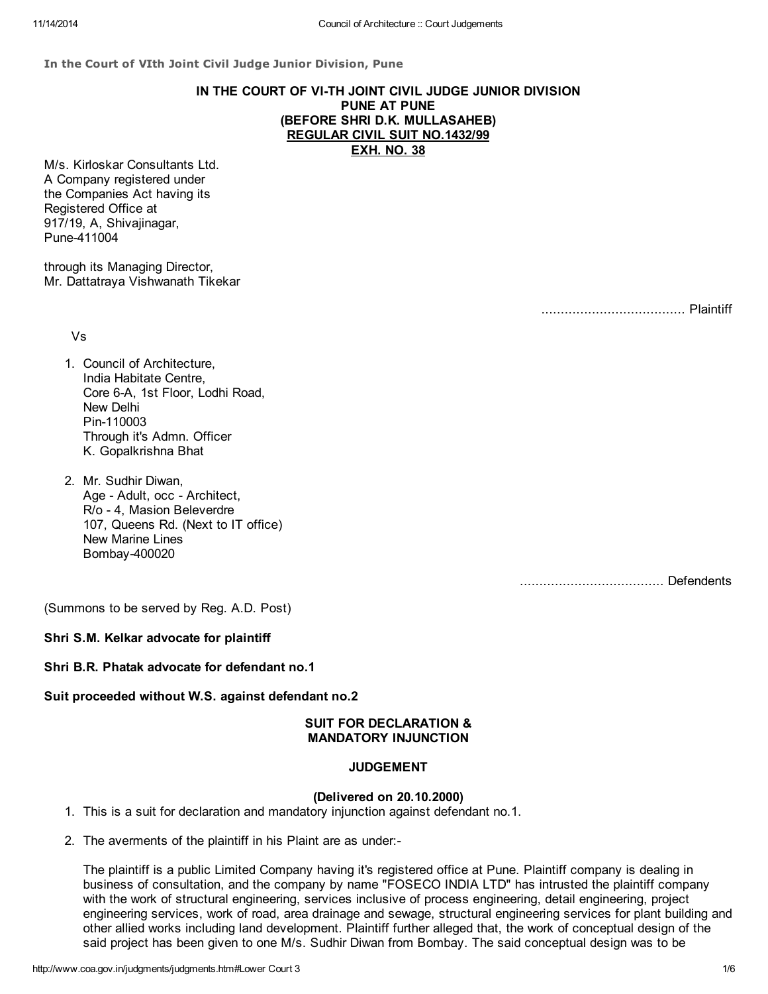In the Court of VIth Joint Civil Judge Junior Division, Pune

# IN THE COURT OF VI-TH JOINT CIVIL JUDGE JUNIOR DIVISION PUNE AT PUNE (BEFORE SHRI D.K. MULLASAHEB) REGULAR CIVIL SUIT NO.1432/99 EXH. NO. 38

M/s. Kirloskar Consultants Ltd. A Company registered under the Companies Act having its Registered Office at 917/19, A, Shivajinagar, Pune-411004

through its Managing Director, Mr. Dattatraya Vishwanath Tikekar

Vs

..................................... Plaintiff

- 1. Council of Architecture, India Habitate Centre, Core 6-A, 1st Floor, Lodhi Road, New Delhi Pin-110003 Through it's Admn. Officer K. Gopalkrishna Bhat
- 2. Mr. Sudhir Diwan, Age - Adult, occ - Architect, R/o - 4, Masion Beleverdre 107, Queens Rd. (Next to IT office) New Marine Lines Bombay-400020

..................................... Defendents

(Summons to be served by Reg. A.D. Post)

#### Shri S.M. Kelkar advocate for plaintiff

Shri B.R. Phatak advocate for defendant no.1

## Suit proceeded without W.S. against defendant no.2

## SUIT FOR DECLARATION & MANDATORY INJUNCTION

## JUDGEMENT

#### (Delivered on 20.10.2000)

1. This is a suit for declaration and mandatory injunction against defendant no.1.

2. The averments of the plaintiff in his Plaint are as under:-

The plaintiff is a public Limited Company having it's registered office at Pune. Plaintiff company is dealing in business of consultation, and the company by name "FOSECO INDIA LTD" has intrusted the plaintiff company with the work of structural engineering, services inclusive of process engineering, detail engineering, project engineering services, work of road, area drainage and sewage, structural engineering services for plant building and other allied works including land development. Plaintiff further alleged that, the work of conceptual design of the said project has been given to one M/s. Sudhir Diwan from Bombay. The said conceptual design was to be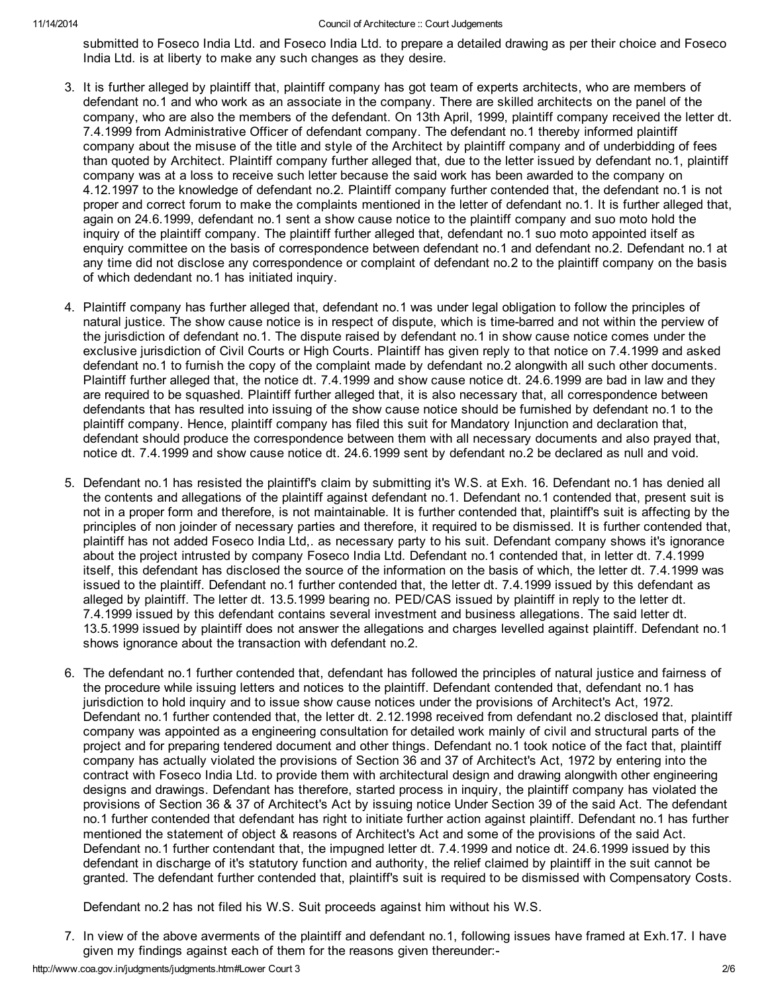submitted to Foseco India Ltd. and Foseco India Ltd. to prepare a detailed drawing as per their choice and Foseco India Ltd. is at liberty to make any such changes as they desire.

- 3. It is further alleged by plaintiff that, plaintiff company has got team of experts architects, who are members of defendant no.1 and who work as an associate in the company. There are skilled architects on the panel of the company, who are also the members of the defendant. On 13th April, 1999, plaintiff company received the letter dt. 7.4.1999 from Administrative Officer of defendant company. The defendant no.1 thereby informed plaintiff company about the misuse of the title and style of the Architect by plaintiff company and of underbidding of fees than quoted by Architect. Plaintiff company further alleged that, due to the letter issued by defendant no.1, plaintiff company was at a loss to receive such letter because the said work has been awarded to the company on 4.12.1997 to the knowledge of defendant no.2. Plaintiff company further contended that, the defendant no.1 is not proper and correct forum to make the complaints mentioned in the letter of defendant no.1. It is further alleged that, again on 24.6.1999, defendant no.1 sent a show cause notice to the plaintiff company and suo moto hold the inquiry of the plaintiff company. The plaintiff further alleged that, defendant no.1 suo moto appointed itself as enquiry committee on the basis of correspondence between defendant no.1 and defendant no.2. Defendant no.1 at any time did not disclose any correspondence or complaint of defendant no.2 to the plaintiff company on the basis of which dedendant no.1 has initiated inquiry.
- 4. Plaintiff company has further alleged that, defendant no.1 was under legal obligation to follow the principles of natural justice. The show cause notice is in respect of dispute, which is time-barred and not within the perview of the jurisdiction of defendant no.1. The dispute raised by defendant no.1 in show cause notice comes under the exclusive jurisdiction of Civil Courts or High Courts. Plaintiff has given reply to that notice on 7.4.1999 and asked defendant no.1 to furnish the copy of the complaint made by defendant no.2 alongwith all such other documents. Plaintiff further alleged that, the notice dt. 7.4.1999 and show cause notice dt. 24.6.1999 are bad in law and they are required to be squashed. Plaintiff further alleged that, it is also necessary that, all correspondence between defendants that has resulted into issuing of the show cause notice should be furnished by defendant no.1 to the plaintiff company. Hence, plaintiff company has filed this suit for Mandatory Injunction and declaration that, defendant should produce the correspondence between them with all necessary documents and also prayed that, notice dt. 7.4.1999 and show cause notice dt. 24.6.1999 sent by defendant no.2 be declared as null and void.
- 5. Defendant no.1 has resisted the plaintiff's claim by submitting it's W.S. at Exh. 16. Defendant no.1 has denied all the contents and allegations of the plaintiff against defendant no.1. Defendant no.1 contended that, present suit is not in a proper form and therefore, is not maintainable. It is further contended that, plaintiff's suit is affecting by the principles of non joinder of necessary parties and therefore, it required to be dismissed. It is further contended that, plaintiff has not added Foseco India Ltd,. as necessary party to his suit. Defendant company shows it's ignorance about the project intrusted by company Foseco India Ltd. Defendant no.1 contended that, in letter dt. 7.4.1999 itself, this defendant has disclosed the source of the information on the basis of which, the letter dt. 7.4.1999 was issued to the plaintiff. Defendant no.1 further contended that, the letter dt. 7.4.1999 issued by this defendant as alleged by plaintiff. The letter dt. 13.5.1999 bearing no. PED/CAS issued by plaintiff in reply to the letter dt. 7.4.1999 issued by this defendant contains several investment and business allegations. The said letter dt. 13.5.1999 issued by plaintiff does not answer the allegations and charges levelled against plaintiff. Defendant no.1 shows ignorance about the transaction with defendant no.2.
- 6. The defendant no.1 further contended that, defendant has followed the principles of natural justice and fairness of the procedure while issuing letters and notices to the plaintiff. Defendant contended that, defendant no.1 has jurisdiction to hold inquiry and to issue show cause notices under the provisions of Architect's Act, 1972. Defendant no.1 further contended that, the letter dt. 2.12.1998 received from defendant no.2 disclosed that, plaintiff company was appointed as a engineering consultation for detailed work mainly of civil and structural parts of the project and for preparing tendered document and other things. Defendant no.1 took notice of the fact that, plaintiff company has actually violated the provisions of Section 36 and 37 of Architect's Act, 1972 by entering into the contract with Foseco India Ltd. to provide them with architectural design and drawing alongwith other engineering designs and drawings. Defendant has therefore, started process in inquiry, the plaintiff company has violated the provisions of Section 36 & 37 of Architect's Act by issuing notice Under Section 39 of the said Act. The defendant no.1 further contended that defendant has right to initiate further action against plaintiff. Defendant no.1 has further mentioned the statement of object & reasons of Architect's Act and some of the provisions of the said Act. Defendant no.1 further contendant that, the impugned letter dt. 7.4.1999 and notice dt. 24.6.1999 issued by this defendant in discharge of it's statutory function and authority, the relief claimed by plaintiff in the suit cannot be granted. The defendant further contended that, plaintiff's suit is required to be dismissed with Compensatory Costs.

Defendant no.2 has not filed his W.S. Suit proceeds against him without his W.S.

7. In view of the above averments of the plaintiff and defendant no.1, following issues have framed at Exh.17. I have given my findings against each of them for the reasons given thereunder:-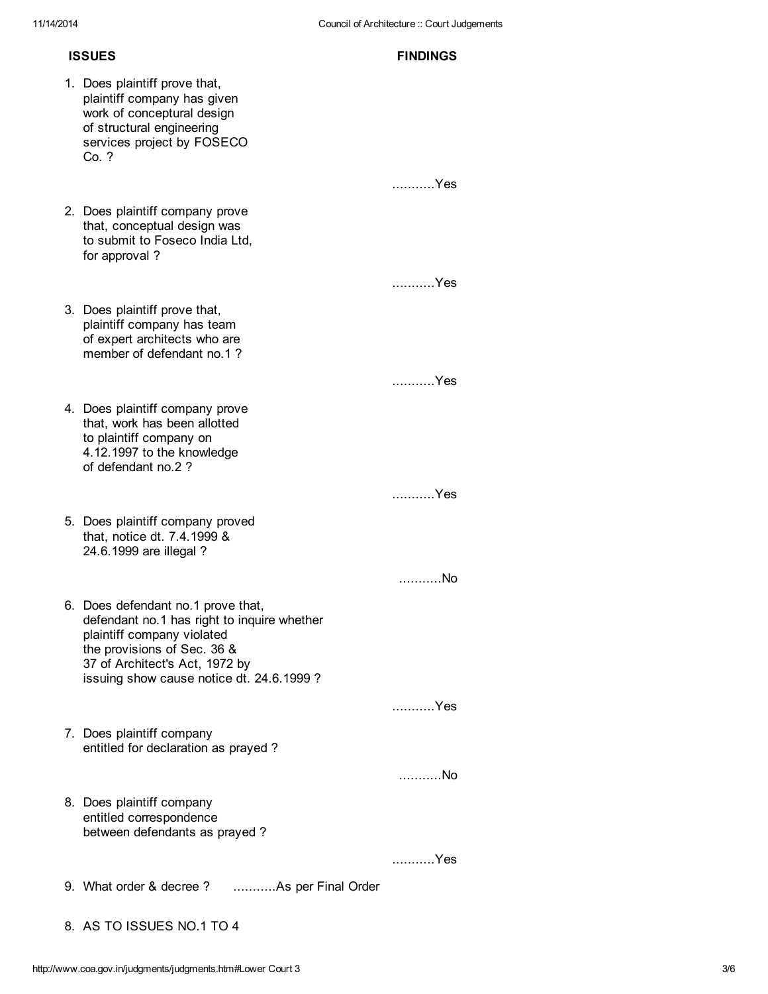## ISSUES FINDINGS

- 1. Does plaintiff prove that, plaintiff company has given work of conceptural design of structural engineering services project by FOSECO  $C_0$  ? ...........Yes 2. Does plaintiff company prove that, conceptual design was to submit to Foseco India Ltd, for approval ? ...........Yes 3. Does plaintiff prove that, plaintiff company has team of expert architects who are member of defendant no.1 ? ...........Yes 4. Does plaintiff company prove that, work has been allotted to plaintiff company on 4.12.1997 to the knowledge of defendant no.2 ? ...........Yes 5. Does plaintiff company proved that, notice dt. 7.4.1999 & 24.6.1999 are illegal ? ...........No 6. Does defendant no.1 prove that, defendant no.1 has right to inquire whether plaintiff company violated the provisions of Sec. 36 & 37 of Architect's Act, 1972 by issuing show cause notice dt. 24.6.1999 ? ...........Yes 7. Does plaintiff company entitled for declaration as prayed ? ...........No 8. Does plaintiff company entitled correspondence between defendants as prayed ? ...........Yes 9. What order & decree ? ...........As per Final Order
- 8. AS TO ISSUES NO.1 TO 4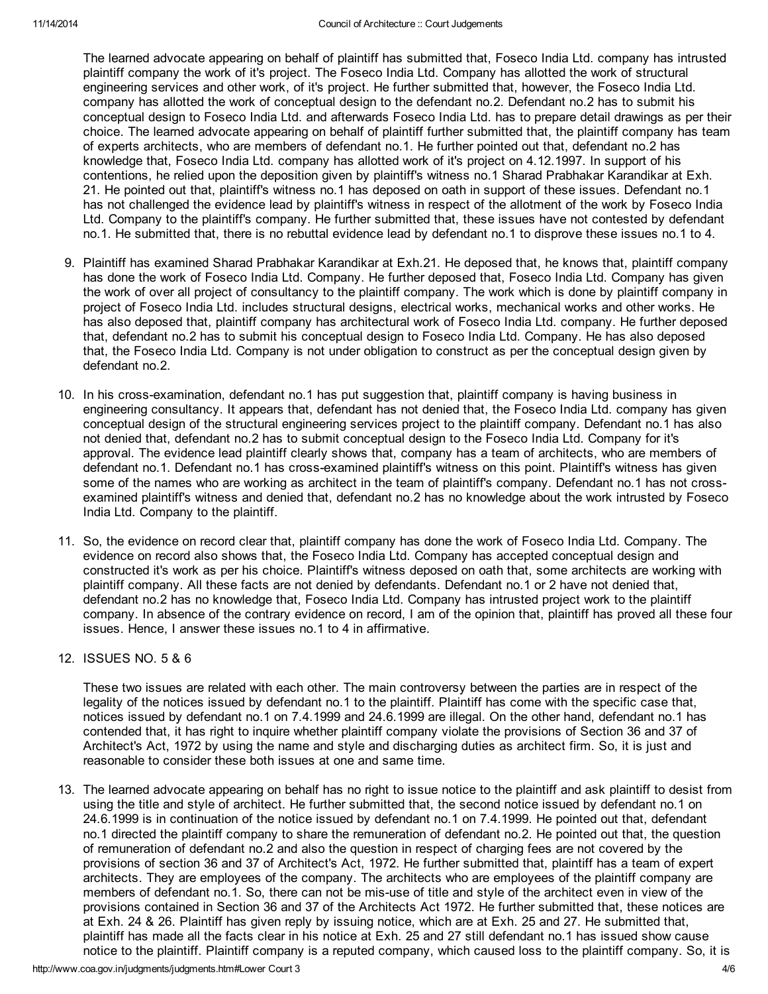The learned advocate appearing on behalf of plaintiff has submitted that, Foseco India Ltd. company has intrusted plaintiff company the work of it's project. The Foseco India Ltd. Company has allotted the work of structural engineering services and other work, of it's project. He further submitted that, however, the Foseco India Ltd. company has allotted the work of conceptual design to the defendant no.2. Defendant no.2 has to submit his conceptual design to Foseco India Ltd. and afterwards Foseco India Ltd. has to prepare detail drawings as per their choice. The learned advocate appearing on behalf of plaintiff further submitted that, the plaintiff company has team of experts architects, who are members of defendant no.1. He further pointed out that, defendant no.2 has knowledge that, Foseco India Ltd. company has allotted work of it's project on 4.12.1997. In support of his contentions, he relied upon the deposition given by plaintiff's witness no.1 Sharad Prabhakar Karandikar at Exh. 21. He pointed out that, plaintiff's witness no.1 has deposed on oath in support of these issues. Defendant no.1 has not challenged the evidence lead by plaintiff's witness in respect of the allotment of the work by Foseco India Ltd. Company to the plaintiff's company. He further submitted that, these issues have not contested by defendant no.1. He submitted that, there is no rebuttal evidence lead by defendant no.1 to disprove these issues no.1 to 4.

- 9. Plaintiff has examined Sharad Prabhakar Karandikar at Exh.21. He deposed that, he knows that, plaintiff company has done the work of Foseco India Ltd. Company. He further deposed that, Foseco India Ltd. Company has given the work of over all project of consultancy to the plaintiff company. The work which is done by plaintiff company in project of Foseco India Ltd. includes structural designs, electrical works, mechanical works and other works. He has also deposed that, plaintiff company has architectural work of Foseco India Ltd. company. He further deposed that, defendant no.2 has to submit his conceptual design to Foseco India Ltd. Company. He has also deposed that, the Foseco India Ltd. Company is not under obligation to construct as per the conceptual design given by defendant no.2.
- 10. In his cross-examination, defendant no.1 has put suggestion that, plaintiff company is having business in engineering consultancy. It appears that, defendant has not denied that, the Foseco India Ltd. company has given conceptual design of the structural engineering services project to the plaintiff company. Defendant no.1 has also not denied that, defendant no.2 has to submit conceptual design to the Foseco India Ltd. Company for it's approval. The evidence lead plaintiff clearly shows that, company has a team of architects, who are members of defendant no.1. Defendant no.1 has cross-examined plaintiff's witness on this point. Plaintiff's witness has given some of the names who are working as architect in the team of plaintiff's company. Defendant no.1 has not crossexamined plaintiff's witness and denied that, defendant no.2 has no knowledge about the work intrusted by Foseco India Ltd. Company to the plaintiff.
- 11. So, the evidence on record clear that, plaintiff company has done the work of Foseco India Ltd. Company. The evidence on record also shows that, the Foseco India Ltd. Company has accepted conceptual design and constructed it's work as per his choice. Plaintiff's witness deposed on oath that, some architects are working with plaintiff company. All these facts are not denied by defendants. Defendant no.1 or 2 have not denied that, defendant no.2 has no knowledge that, Foseco India Ltd. Company has intrusted project work to the plaintiff company. In absence of the contrary evidence on record, I am of the opinion that, plaintiff has proved all these four issues. Hence, I answer these issues no.1 to 4 in affirmative.
- 12. ISSUES NO. 5 & 6

These two issues are related with each other. The main controversy between the parties are in respect of the legality of the notices issued by defendant no.1 to the plaintiff. Plaintiff has come with the specific case that, notices issued by defendant no.1 on 7.4.1999 and 24.6.1999 are illegal. On the other hand, defendant no.1 has contended that, it has right to inquire whether plaintiff company violate the provisions of Section 36 and 37 of Architect's Act, 1972 by using the name and style and discharging duties as architect firm. So, it is just and reasonable to consider these both issues at one and same time.

13. The learned advocate appearing on behalf has no right to issue notice to the plaintiff and ask plaintiff to desist from using the title and style of architect. He further submitted that, the second notice issued by defendant no.1 on 24.6.1999 is in continuation of the notice issued by defendant no.1 on 7.4.1999. He pointed out that, defendant no.1 directed the plaintiff company to share the remuneration of defendant no.2. He pointed out that, the question of remuneration of defendant no.2 and also the question in respect of charging fees are not covered by the provisions of section 36 and 37 of Architect's Act, 1972. He further submitted that, plaintiff has a team of expert architects. They are employees of the company. The architects who are employees of the plaintiff company are members of defendant no.1. So, there can not be mis-use of title and style of the architect even in view of the provisions contained in Section 36 and 37 of the Architects Act 1972. He further submitted that, these notices are at Exh. 24 & 26. Plaintiff has given reply by issuing notice, which are at Exh. 25 and 27. He submitted that, plaintiff has made all the facts clear in his notice at Exh. 25 and 27 still defendant no.1 has issued show cause notice to the plaintiff. Plaintiff company is a reputed company, which caused loss to the plaintiff company. So, it is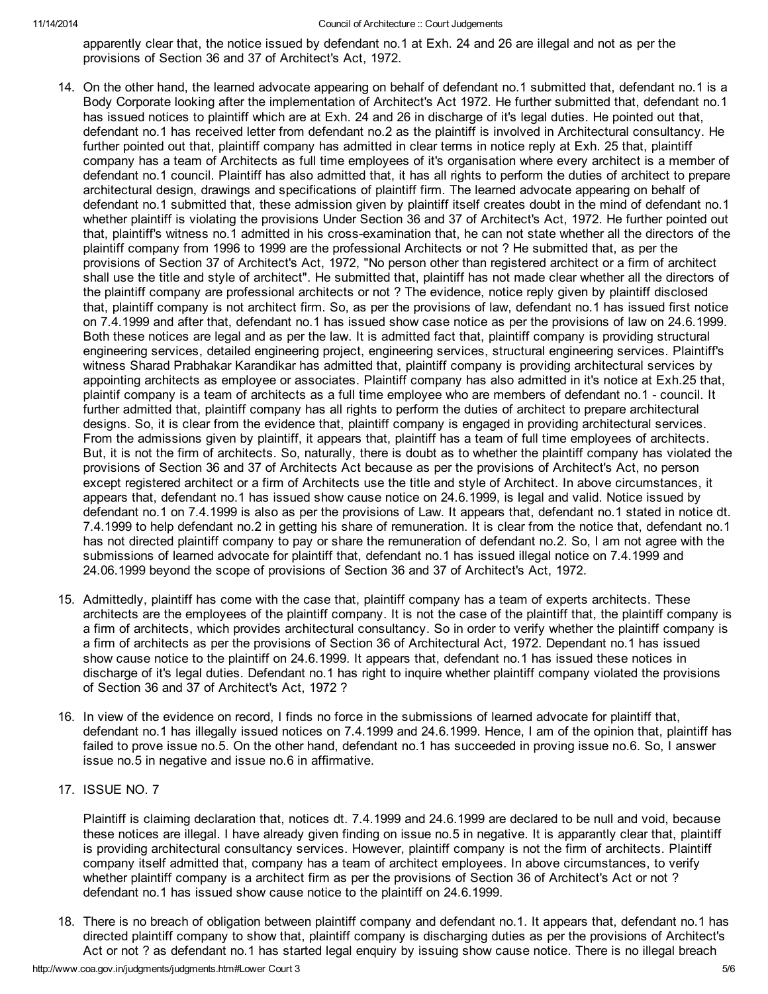#### 11/14/2014 Council of Architecture :: Court Judgements

apparently clear that, the notice issued by defendant no.1 at Exh. 24 and 26 are illegal and not as per the provisions of Section 36 and 37 of Architect's Act, 1972.

- 14. On the other hand, the learned advocate appearing on behalf of defendant no.1 submitted that, defendant no.1 is a Body Corporate looking after the implementation of Architect's Act 1972. He further submitted that, defendant no.1 has issued notices to plaintiff which are at Exh. 24 and 26 in discharge of it's legal duties. He pointed out that, defendant no.1 has received letter from defendant no.2 as the plaintiff is involved in Architectural consultancy. He further pointed out that, plaintiff company has admitted in clear terms in notice reply at Exh. 25 that, plaintiff company has a team of Architects as full time employees of it's organisation where every architect is a member of defendant no.1 council. Plaintiff has also admitted that, it has all rights to perform the duties of architect to prepare architectural design, drawings and specifications of plaintiff firm. The learned advocate appearing on behalf of defendant no.1 submitted that, these admission given by plaintiff itself creates doubt in the mind of defendant no.1 whether plaintiff is violating the provisions Under Section 36 and 37 of Architect's Act, 1972. He further pointed out that, plaintiff's witness no.1 admitted in his cross-examination that, he can not state whether all the directors of the plaintiff company from 1996 to 1999 are the professional Architects or not ? He submitted that, as per the provisions of Section 37 of Architect's Act, 1972, "No person other than registered architect or a firm of architect shall use the title and style of architect". He submitted that, plaintiff has not made clear whether all the directors of the plaintiff company are professional architects or not ? The evidence, notice reply given by plaintiff disclosed that, plaintiff company is not architect firm. So, as per the provisions of law, defendant no.1 has issued first notice on 7.4.1999 and after that, defendant no.1 has issued show case notice as per the provisions of law on 24.6.1999. Both these notices are legal and as per the law. It is admitted fact that, plaintiff company is providing structural engineering services, detailed engineering project, engineering services, structural engineering services. Plaintiff's witness Sharad Prabhakar Karandikar has admitted that, plaintiff company is providing architectural services by appointing architects as employee or associates. Plaintiff company has also admitted in it's notice at Exh.25 that, plaintif company is a team of architects as a full time employee who are members of defendant no.1 - council. It further admitted that, plaintiff company has all rights to perform the duties of architect to prepare architectural designs. So, it is clear from the evidence that, plaintiff company is engaged in providing architectural services. From the admissions given by plaintiff, it appears that, plaintiff has a team of full time employees of architects. But, it is not the firm of architects. So, naturally, there is doubt as to whether the plaintiff company has violated the provisions of Section 36 and 37 of Architects Act because as per the provisions of Architect's Act, no person except registered architect or a firm of Architects use the title and style of Architect. In above circumstances, it appears that, defendant no.1 has issued show cause notice on 24.6.1999, is legal and valid. Notice issued by defendant no.1 on 7.4.1999 is also as per the provisions of Law. It appears that, defendant no.1 stated in notice dt. 7.4.1999 to help defendant no.2 in getting his share of remuneration. It is clear from the notice that, defendant no.1 has not directed plaintiff company to pay or share the remuneration of defendant no.2. So, I am not agree with the submissions of learned advocate for plaintiff that, defendant no.1 has issued illegal notice on 7.4.1999 and 24.06.1999 beyond the scope of provisions of Section 36 and 37 of Architect's Act, 1972.
- 15. Admittedly, plaintiff has come with the case that, plaintiff company has a team of experts architects. These architects are the employees of the plaintiff company. It is not the case of the plaintiff that, the plaintiff company is a firm of architects, which provides architectural consultancy. So in order to verify whether the plaintiff company is a firm of architects as per the provisions of Section 36 of Architectural Act, 1972. Dependant no.1 has issued show cause notice to the plaintiff on 24.6.1999. It appears that, defendant no.1 has issued these notices in discharge of it's legal duties. Defendant no.1 has right to inquire whether plaintiff company violated the provisions of Section 36 and 37 of Architect's Act, 1972 ?
- 16. In view of the evidence on record, I finds no force in the submissions of learned advocate for plaintiff that, defendant no.1 has illegally issued notices on 7.4.1999 and 24.6.1999. Hence, I am of the opinion that, plaintiff has failed to prove issue no.5. On the other hand, defendant no.1 has succeeded in proving issue no.6. So, I answer issue no.5 in negative and issue no.6 in affirmative.
- 17. ISSUE NO. 7

Plaintiff is claiming declaration that, notices dt. 7.4.1999 and 24.6.1999 are declared to be null and void, because these notices are illegal. I have already given finding on issue no.5 in negative. It is apparantly clear that, plaintiff is providing architectural consultancy services. However, plaintiff company is not the firm of architects. Plaintiff company itself admitted that, company has a team of architect employees. In above circumstances, to verify whether plaintiff company is a architect firm as per the provisions of Section 36 of Architect's Act or not ? defendant no.1 has issued show cause notice to the plaintiff on 24.6.1999.

18. There is no breach of obligation between plaintiff company and defendant no.1. It appears that, defendant no.1 has directed plaintiff company to show that, plaintiff company is discharging duties as per the provisions of Architect's Act or not ? as defendant no.1 has started legal enquiry by issuing show cause notice. There is no illegal breach